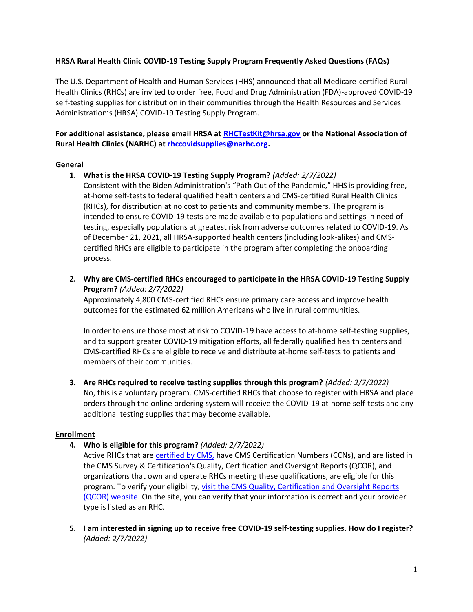## **HRSA Rural Health Clinic COVID-19 Testing Supply Program Frequently Asked Questions (FAQs)**

The U.S. Department of Health and Human Services (HHS) announced that all Medicare-certified Rural Health Clinics (RHCs) are invited to order free, Food and Drug Administration (FDA)-approved COVID-19 self-testing supplies for distribution in their communities through the Health Resources and Services Administration's (HRSA) COVID-19 Testing Supply Program.

# **For additional assistance, please email HRSA at [RHCTestKit@hrsa.gov](mailto:RHCTestKit@hrsa.gov) or the National Association of Rural Health Clinics (NARHC) a[t rhccovidsupplies@narhc.org.](mailto:rhccovidsupplies@narhc.org)**

## **General**

**1. What is the HRSA COVID-19 Testing Supply Program?** *(Added: 2/7/2022)*

Consistent with the Biden Administration's "Path Out of the Pandemic," HHS is providing free, at-home self-tests to federal qualified health centers and CMS-certified Rural Health Clinics (RHCs), for distribution at no cost to patients and community members. The program is intended to ensure COVID-19 tests are made available to populations and settings in need of testing, especially populations at greatest risk from adverse outcomes related to COVID-19. As of December 21, 2021, all HRSA-supported health centers (including look-alikes) and CMScertified RHCs are eligible to participate in the program after completing the onboarding process.

**2. Why are CMS-certified RHCs encouraged to participate in the HRSA COVID-19 Testing Supply Program?** *(Added: 2/7/2022)*

Approximately 4,800 CMS-certified RHCs ensure primary care access and improve health outcomes for the estimated 62 million Americans who live in rural communities.

In order to ensure those most at risk to COVID-19 have access to at-home self-testing supplies, and to support greater COVID-19 mitigation efforts, all federally qualified health centers and CMS-certified RHCs are eligible to receive and distribute at-home self-tests to patients and members of their communities.

**3. Are RHCs required to receive testing supplies through this program?** *(Added: 2/7/2022)* No, this is a voluntary program. CMS-certified RHCs that choose to register with HRSA and place orders through the online ordering system will receive the COVID-19 at-home self-tests and any

#### **Enrollment**

**4. Who is eligible for this program?** *(Added: 2/7/2022)*

additional testing supplies that may become available.

Active RHCs that are [certified by CMS,](https://www.cms.gov/Medicare/Provider-Enrollment-and-Certification/CertificationandComplianc/RHCs) have CMS Certification Numbers (CCNs), and are listed in the CMS Survey & Certification's Quality, Certification and Oversight Reports (QCOR), and organizations that own and operate RHCs meeting these qualifications, are eligible for this program. To verify your eligibility, [visit the CMS Quality, Certification and Oversight Reports](https://qcor.cms.gov/index_new.jsp)  [\(QCOR\) website.](https://qcor.cms.gov/index_new.jsp) On the site, you can verify that your information is correct and your provider type is listed as an RHC.

**5. I am interested in signing up to receive free COVID-19 self-testing supplies. How do I register?**  *(Added: 2/7/2022)*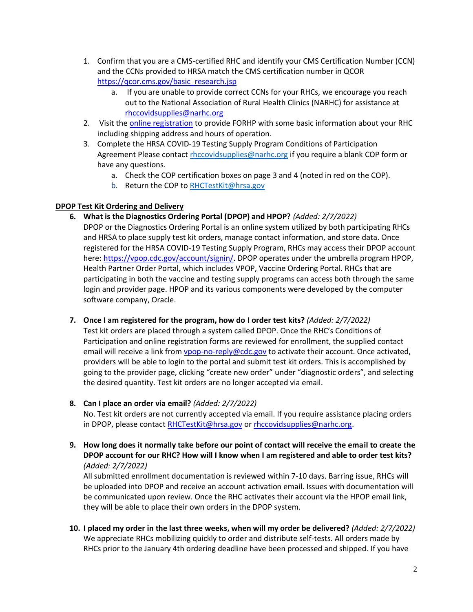- 1. Confirm that you are a CMS-certified RHC and identify your CMS Certification Number (CCN) and the CCNs provided to HRSA match the CMS certification number in QCOR [https://qcor.cms.gov/basic\\_research.jsp](https://qcor.cms.gov/basic_research.jsp)
	- a. If you are unable to provide correct CCNs for your RHCs, we encourage you reach out to the National Association of Rural Health Clinics (NARHC) for assistance at [rhccovidsupplies@narhc.org](mailto:rhccovidsupplies@narhc.org)
- 2. Visit th[e online registration](https://bphccommunications.secure.force.com/FORHPVaccineReadiness/FORHPCOVIDVaccineReadiness) to provide FORHP with some basic information about your RHC including shipping address and hours of operation.
- 3. Complete the HRSA COVID-19 Testing Supply Program Conditions of Participation Agreement Please contact [rhccovidsupplies@narhc.org](mailto:rhccovidsupplies@narhc.org) if you require a blank COP form or have any questions.
	- a. Check the COP certification boxes on page 3 and 4 (noted in red on the COP).
	- b. Return the COP t[o RHCTestKit@hrsa.gov](mailto:RHCTestKit@hrsa.gov)

# **DPOP Test Kit Ordering and Delivery**

- **6. What is the Diagnostics Ordering Portal (DPOP) and HPOP?** *(Added: 2/7/2022)* DPOP or the Diagnostics Ordering Portal is an online system utilized by both participating RHCs and HRSA to place supply test kit orders, manage contact information, and store data. Once registered for the HRSA COVID-19 Testing Supply Program, RHCs may access their DPOP account here: [https://vpop.cdc.gov/account/signin/.](https://vpop.cdc.gov/account/signin/) DPOP operates under the umbrella program HPOP, Health Partner Order Portal, which includes VPOP, Vaccine Ordering Portal. RHCs that are participating in both the vaccine and testing supply programs can access both through the same login and provider page. HPOP and its various components were developed by the computer software company, Oracle.
- **7. Once I am registered for the program, how do I order test kits?** *(Added: 2/7/2022)*

Test kit orders are placed through a system called DPOP. Once the RHC's Conditions of Participation and online registration forms are reviewed for enrollment, the supplied contact email will receive a link from *ypop-no-reply@cdc.gov* to activate their account. Once activated, providers will be able to login to the portal and submit test kit orders. This is accomplished by going to the provider page, clicking "create new order" under "diagnostic orders", and selecting the desired quantity. Test kit orders are no longer accepted via email.

**8. Can I place an order via email?** *(Added: 2/7/2022)*

No. Test kit orders are not currently accepted via email. If you require assistance placing orders in DPOP, please contac[t RHCTestKit@hrsa.gov](mailto:RHCTestKit@hrsa.gov) or [rhccovidsupplies@narhc.org.](mailto:rhccovidsupplies@narhc.org)

**9. How long does it normally take before our point of contact will receive the email to create the DPOP account for our RHC? How will I know when I am registered and able to order test kits?** *(Added: 2/7/2022)*

All submitted enrollment documentation is reviewed within 7-10 days. Barring issue, RHCs will be uploaded into DPOP and receive an account activation email. Issues with documentation will be communicated upon review. Once the RHC activates their account via the HPOP email link, they will be able to place their own orders in the DPOP system.

**10. I placed my order in the last three weeks, when will my order be delivered?** *(Added: 2/7/2022)* We appreciate RHCs mobilizing quickly to order and distribute self-tests. All orders made by RHCs prior to the January 4th ordering deadline have been processed and shipped. If you have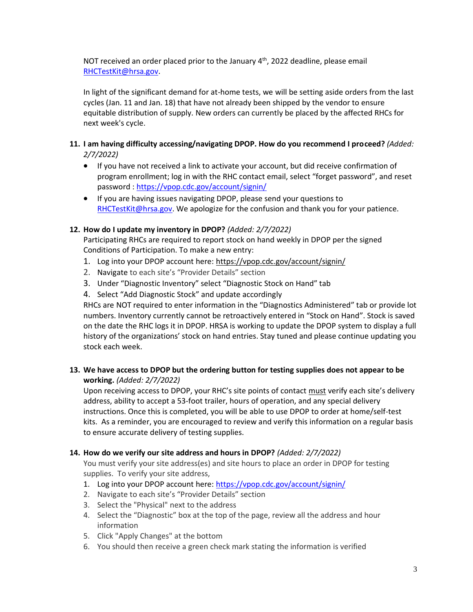NOT received an order placed prior to the January  $4<sup>th</sup>$ , 2022 deadline, please email [RHCTestKit@hrsa.gov.](mailto:RHCTestKit@hrsa.gov)

In light of the significant demand for at-home tests, we will be setting aside orders from the last cycles (Jan. 11 and Jan. 18) that have not already been shipped by the vendor to ensure equitable distribution of supply. New orders can currently be placed by the affected RHCs for next week's cycle.

# **11. I am having difficulty accessing/navigating DPOP. How do you recommend I proceed?** *(Added: 2/7/2022)*

- If you have not received a link to activate your account, but did receive confirmation of program enrollment; log in with the RHC contact email, select "forget password", and reset password :<https://vpop.cdc.gov/account/signin/>
- If you are having issues navigating DPOP, please send your questions to [RHCTestKit@hrsa.gov.](mailto:RHCTestKit@hrsa.gov) We apologize for the confusion and thank you for your patience.

# **12. How do I update my inventory in DPOP?** *(Added: 2/7/2022)*

Participating RHCs are required to report stock on hand weekly in DPOP per the signed Conditions of Participation. To make a new entry:

- 1. Log into your DPOP account here:<https://vpop.cdc.gov/account/signin/>
- 2. Navigate to each site's "Provider Details" section
- 3. Under "Diagnostic Inventory" select "Diagnostic Stock on Hand" tab
- 4. Select "Add Diagnostic Stock" and update accordingly

RHCs are NOT required to enter information in the "Diagnostics Administered" tab or provide lot numbers. Inventory currently cannot be retroactively entered in "Stock on Hand". Stock is saved on the date the RHC logs it in DPOP. HRSA is working to update the DPOP system to display a full history of the organizations' stock on hand entries. Stay tuned and please continue updating you stock each week.

# **13. We have access to DPOP but the ordering button for testing supplies does not appear to be working.** *(Added: 2/7/2022)*

Upon receiving access to DPOP, your RHC's site points of contact must verify each site's delivery address, ability to accept a 53-foot trailer, hours of operation, and any special delivery instructions. Once this is completed, you will be able to use DPOP to order at home/self-test kits. As a reminder, you are encouraged to review and verify this information on a regular basis to ensure accurate delivery of testing supplies.

#### **14. How do we verify our site address and hours in DPOP?** *(Added: 2/7/2022)*

You must verify your site address(es) and site hours to place an order in DPOP for testing supplies. To verify your site address,

- 1. Log into your DPOP account here:<https://vpop.cdc.gov/account/signin/>
- 2. Navigate to each site's "Provider Details" section
- 3. Select the "Physical" next to the address
- 4. Select the "Diagnostic" box at the top of the page, review all the address and hour information
- 5. Click "Apply Changes" at the bottom
- 6. You should then receive a green check mark stating the information is verified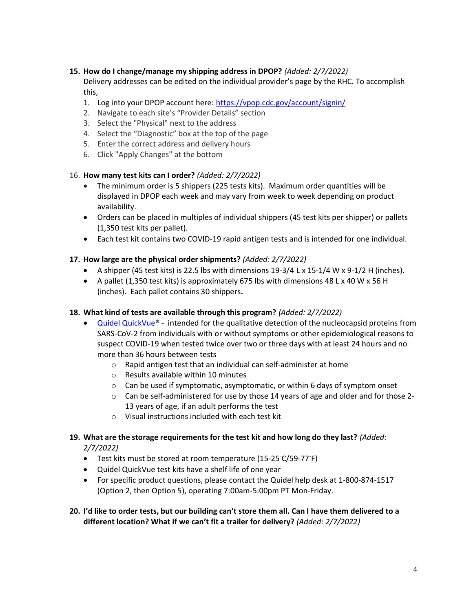## **15. How do I change/manage my shipping address in DPOP?** *(Added: 2/7/2022)*

Delivery addresses can be edited on the individual provider's page by the RHC. To accomplish this,

- 1. Log into your DPOP account here:<https://vpop.cdc.gov/account/signin/>
- 2. Navigate to each site's "Provider Details" section
- 3. Select the "Physical" next to the address
- 4. Select the "Diagnostic" box at the top of the page
- 5. Enter the correct address and delivery hours
- 6. Click "Apply Changes" at the bottom

## 16. **How many test kits can I order?** *(Added: 2/7/2022)*

- The minimum order is 5 shippers (225 tests kits). Maximum order quantities will be displayed in DPOP each week and may vary from week to week depending on product availability.
- Orders can be placed in multiples of individual shippers (45 test kits per shipper) or pallets (1,350 test kits per pallet).
- Each test kit contains two COVID-19 rapid antigen tests and is intended for one individual.

## **17. How large are the physical order shipments?** *(Added: 2/7/2022)*

- A shipper (45 test kits) is 22.5 lbs with dimensions  $19-3/4$  L x  $15-1/4$  W x  $9-1/2$  H (inches).
- A pallet (1,350 test kits) is approximately 675 lbs with dimensions 48 L x 40 W x 56 H (inches). Each pallet contains 30 shippers**.**

# **18. What kind of tests are available through this program?** *(Added: 2/7/2022)*

- [Quidel QuickVue®](https://urldefense.proofpoint.com/v2/url?u=https-3A__quickvueathome.com_&d=DwMFAg&c=euGZstcaTDllvimEN8b7jXrwqOf-v5A_CdpgnVfiiMM&r=2Edl14Y-JHrhUOVlG9OHwmS9Ne2Pik0cbT-GkZZ3MDc&m=9dkWTBFMDaCi5Gp0qYQNYo5SABLPFWO4bX_9LOirBR8&s=aCrV-VZJF-6asps_tXFNTK6CtB39xN_8gizVIS298Kw&e=) intended for the qualitative detection of the nucleocapsid proteins from SARS-CoV-2 from individuals with or without symptoms or other epidemiological reasons to suspect COVID-19 when tested twice over two or three days with at least 24 hours and no more than 36 hours between tests
	- o Rapid antigen test that an individual can self-administer at home
	- o Results available within 10 minutes
	- $\circ$  Can be used if symptomatic, asymptomatic, or within 6 days of symptom onset
	- $\circ$  Can be self-administered for use by those 14 years of age and older and for those 2-13 years of age, if an adult performs the test
	- o Visual instructions included with each test kit

#### **19. What are the storage requirements for the test kit and how long do they last?** *(Added: 2/7/2022)*

- Test kits must be stored at room temperature (15-25◦C/59-77◦F)
- Quidel QuickVue test kits have a shelf life of one year
- For specific product questions, please contact the Quidel help desk at 1-800-874-1517 (Option 2, then Option 5), operating 7:00am-5:00pm PT Mon-Friday.

## **20. I'd like to order tests, but our building can't store them all. Can I have them delivered to a different location? What if we can't fit a trailer for delivery?** *(Added: 2/7/2022)*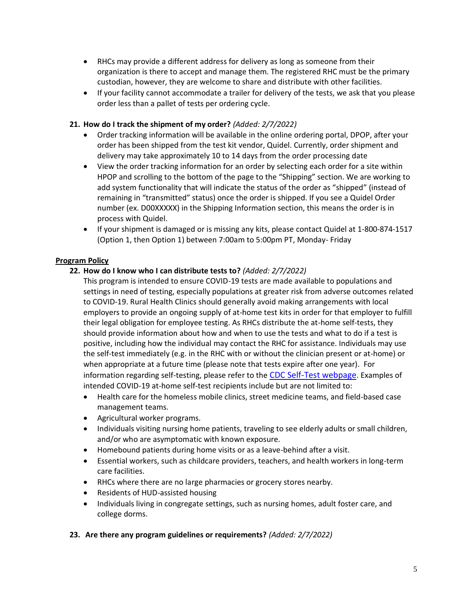- RHCs may provide a different address for delivery as long as someone from their organization is there to accept and manage them. The registered RHC must be the primary custodian, however, they are welcome to share and distribute with other facilities.
- If your facility cannot accommodate a trailer for delivery of the tests, we ask that you please order less than a pallet of tests per ordering cycle.

## **21. How do I track the shipment of my order?** *(Added: 2/7/2022)*

- Order tracking information will be available in the online ordering portal, DPOP, after your order has been shipped from the test kit vendor, Quidel. Currently, order shipment and delivery may take approximately 10 to 14 days from the order processing date
- View the order tracking information for an order by selecting each order for a site within HPOP and scrolling to the bottom of the page to the "Shipping" section. We are working to add system functionality that will indicate the status of the order as "shipped" (instead of remaining in "transmitted" status) once the order is shipped. If you see a Quidel Order number (ex. D00XXXXX) in the Shipping Information section, this means the order is in process with Quidel.
- If your shipment is damaged or is missing any kits, please contact Quidel at 1-800-874-1517 (Option 1, then Option 1) between 7:00am to 5:00pm PT, Monday- Friday

## **Program Policy**

## **22. How do I know who I can distribute tests to?** *(Added: 2/7/2022)*

- This program is intended to ensure COVID-19 tests are made available to populations and settings in need of testing, especially populations at greater risk from adverse outcomes related to COVID-19. Rural Health Clinics should generally avoid making arrangements with local employers to provide an ongoing supply of at-home test kits in order for that employer to fulfill their legal obligation for employee testing. As RHCs distribute the at-home self-tests, they should provide information about how and when to use the tests and what to do if a test is positive, including how the individual may contact the RHC for assistance. Individuals may use the self-test immediately (e.g. in the RHC with or without the clinician present or at-home) or when appropriate at a future time (please note that tests expire after one year). For information regarding self-testing, please refer to the [CDC Self-Test webpage](https://www.cdc.gov/coronavirus/2019-ncov/testing/self-testing.html). Examples of intended COVID-19 at-home self-test recipients include but are not limited to:
- Health care for the homeless mobile clinics, street medicine teams, and field-based case management teams.
- Agricultural worker programs.
- Individuals visiting nursing home patients, traveling to see elderly adults or small children, and/or who are asymptomatic with known exposure.
- Homebound patients during home visits or as a leave-behind after a visit.
- Essential workers, such as childcare providers, teachers, and health workers in long-term care facilities.
- RHCs where there are no large pharmacies or grocery stores nearby.
- Residents of HUD-assisted housing
- Individuals living in congregate settings, such as nursing homes, adult foster care, and college dorms.

### **23. Are there any program guidelines or requirements?** *(Added: 2/7/2022)*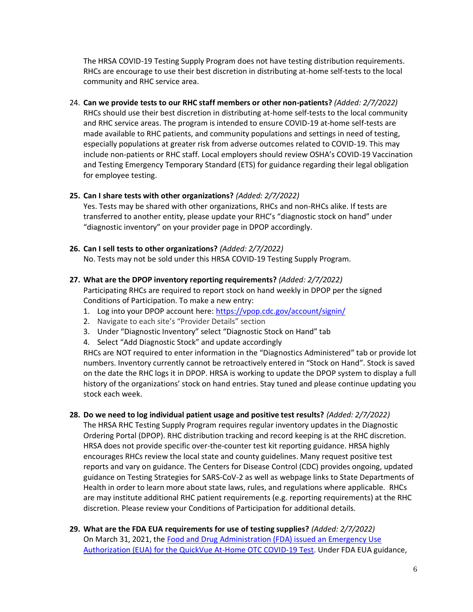The HRSA COVID-19 Testing Supply Program does not have testing distribution requirements. RHCs are encourage to use their best discretion in distributing at-home self-tests to the local community and RHC service area.

24. **Can we provide tests to our RHC staff members or other non-patients?** *(Added: 2/7/2022)* RHCs should use their best discretion in distributing at-home self-tests to the local community and RHC service areas. The program is intended to ensure COVID-19 at-home self-tests are made available to RHC patients, and community populations and settings in need of testing, especially populations at greater risk from adverse outcomes related to COVID-19. This may include non-patients or RHC staff. Local employers should review OSHA's COVID-19 Vaccination and Testing Emergency Temporary Standard (ETS) for guidance regarding their legal obligation for employee testing.

#### **25. Can I share tests with other organizations?** *(Added: 2/7/2022)*

Yes. Tests may be shared with other organizations, RHCs and non-RHCs alike. If tests are transferred to another entity, please update your RHC's "diagnostic stock on hand" under "diagnostic inventory" on your provider page in DPOP accordingly.

- **26. Can I sell tests to other organizations?** *(Added: 2/7/2022)* No. Tests may not be sold under this HRSA COVID-19 Testing Supply Program.
- **27. What are the DPOP inventory reporting requirements?** *(Added: 2/7/2022)* Participating RHCs are required to report stock on hand weekly in DPOP per the signed Conditions of Participation. To make a new entry:
	- 1. Log into your DPOP account here:<https://vpop.cdc.gov/account/signin/>
	- 2. Navigate to each site's "Provider Details" section
	- 3. Under "Diagnostic Inventory" select "Diagnostic Stock on Hand" tab
	- 4. Select "Add Diagnostic Stock" and update accordingly

RHCs are NOT required to enter information in the "Diagnostics Administered" tab or provide lot numbers. Inventory currently cannot be retroactively entered in "Stock on Hand". Stock is saved on the date the RHC logs it in DPOP. HRSA is working to update the DPOP system to display a full history of the organizations' stock on hand entries. Stay tuned and please continue updating you stock each week.

**28. Do we need to log individual patient usage and positive test results?** *(Added: 2/7/2022)*

The HRSA RHC Testing Supply Program requires regular inventory updates in the Diagnostic Ordering Portal (DPOP). RHC distribution tracking and record keeping is at the RHC discretion. HRSA does not provide specific over-the-counter test kit reporting guidance. HRSA highly encourages RHCs review the local state and county guidelines. Many request positive test reports and vary on guidance. The Centers for Disease Control (CDC) provides ongoing, updated guidance on Testing Strategies for SARS-CoV-2 as well as webpage links to State Departments of Health in order to learn more about state laws, rules, and regulations where applicable. RHCs are may institute additional RHC patient requirements (e.g. reporting requirements) at the RHC discretion. Please review your Conditions of Participation for additional details.

**29. What are the FDA EUA requirements for use of testing supplies?** *(Added: 2/7/2022)* On March 31, 2021, the [Food and Drug Administration \(FDA\) issued an Emergency Use](https://www.fda.gov/media/147247/download)  [Authorization \(EUA\) for the QuickVue At-Home OTC COVID-19 Test.](https://www.fda.gov/media/147247/download) Under FDA EUA guidance,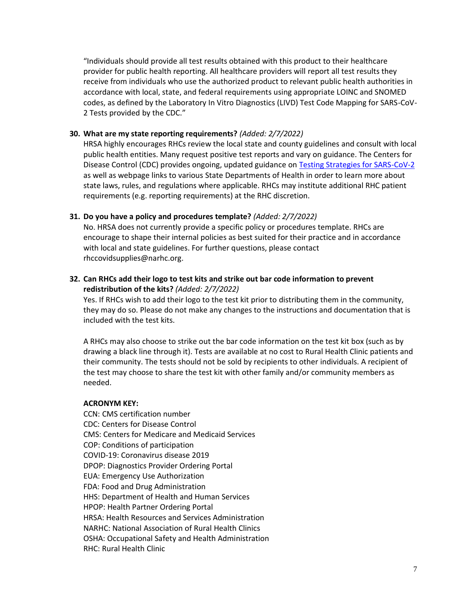"Individuals should provide all test results obtained with this product to their healthcare provider for public health reporting. All healthcare providers will report all test results they receive from individuals who use the authorized product to relevant public health authorities in accordance with local, state, and federal requirements using appropriate LOINC and SNOMED codes, as defined by the Laboratory In Vitro Diagnostics (LIVD) Test Code Mapping for SARS-CoV-2 Tests provided by the CDC."

#### **30. What are my state reporting requirements?** *(Added: 2/7/2022)*

HRSA highly encourages RHCs review the local state and county guidelines and consult with local public health entities. Many request positive test reports and vary on guidance. The Centers for Disease Control (CDC) provides ongoing, updated guidance on [Testing Strategies for SARS-CoV-2](https://www.cdc.gov/coronavirus/2019-ncov/lab/resources/sars-cov2-testing-strategies.html) as well as webpage links to various State Departments of Health in order to learn more about state laws, rules, and regulations where applicable. RHCs may institute additional RHC patient requirements (e.g. reporting requirements) at the RHC discretion.

#### **31. Do you have a policy and procedures template?** *(Added: 2/7/2022)*

No. HRSA does not currently provide a specific policy or procedures template. RHCs are encourage to shape their internal policies as best suited for their practice and in accordance with local and state guidelines. For further questions, please contact rhccovidsupplies@narhc.org.

**32. Can RHCs add their logo to test kits and strike out bar code information to prevent redistribution of the kits?** *(Added: 2/7/2022)*

Yes. If RHCs wish to add their logo to the test kit prior to distributing them in the community, they may do so. Please do not make any changes to the instructions and documentation that is included with the test kits.

A RHCs may also choose to strike out the bar code information on the test kit box (such as by drawing a black line through it). Tests are available at no cost to Rural Health Clinic patients and their community. The tests should not be sold by recipients to other individuals. A recipient of the test may choose to share the test kit with other family and/or community members as needed.

#### **ACRONYM KEY:**

CCN: CMS certification number CDC: Centers for Disease Control CMS: Centers for Medicare and Medicaid Services COP: Conditions of participation COVID-19: Coronavirus disease 2019 DPOP: Diagnostics Provider Ordering Portal EUA: Emergency Use Authorization FDA: Food and Drug Administration HHS: Department of Health and Human Services HPOP: Health Partner Ordering Portal HRSA: Health Resources and Services Administration NARHC: National Association of Rural Health Clinics OSHA: Occupational Safety and Health Administration RHC: Rural Health Clinic